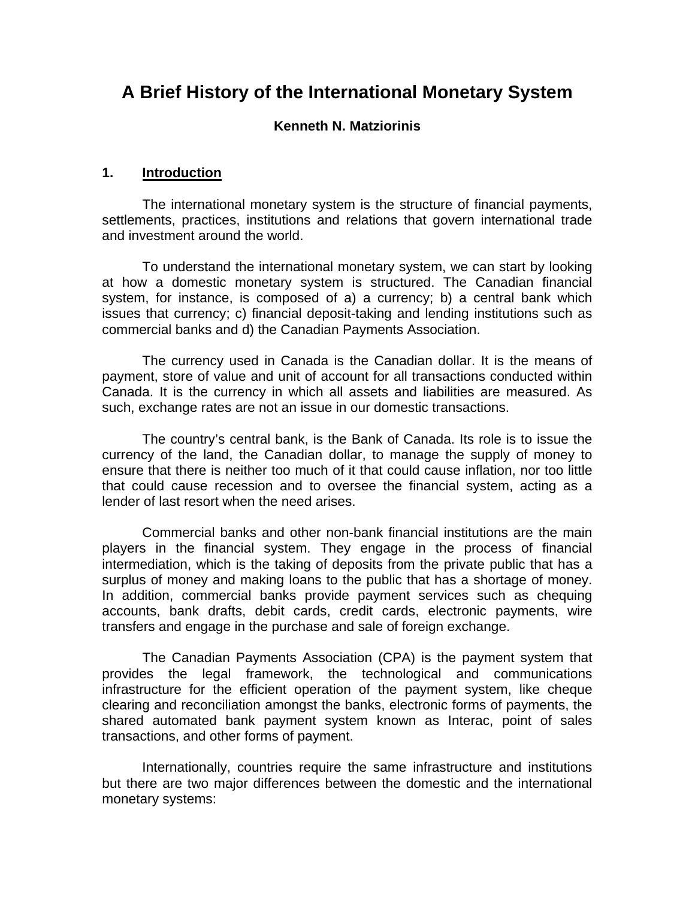# **A Brief History of the International Monetary System**

#### **Kenneth N. Matziorinis**

#### **1. Introduction**

The international monetary system is the structure of financial payments, settlements, practices, institutions and relations that govern international trade and investment around the world.

To understand the international monetary system, we can start by looking at how a domestic monetary system is structured. The Canadian financial system, for instance, is composed of a) a currency; b) a central bank which issues that currency; c) financial deposit-taking and lending institutions such as commercial banks and d) the Canadian Payments Association.

The currency used in Canada is the Canadian dollar. It is the means of payment, store of value and unit of account for all transactions conducted within Canada. It is the currency in which all assets and liabilities are measured. As such, exchange rates are not an issue in our domestic transactions.

The country's central bank, is the Bank of Canada. Its role is to issue the currency of the land, the Canadian dollar, to manage the supply of money to ensure that there is neither too much of it that could cause inflation, nor too little that could cause recession and to oversee the financial system, acting as a lender of last resort when the need arises.

Commercial banks and other non-bank financial institutions are the main players in the financial system. They engage in the process of financial intermediation, which is the taking of deposits from the private public that has a surplus of money and making loans to the public that has a shortage of money. In addition, commercial banks provide payment services such as chequing accounts, bank drafts, debit cards, credit cards, electronic payments, wire transfers and engage in the purchase and sale of foreign exchange.

The Canadian Payments Association (CPA) is the payment system that provides the legal framework, the technological and communications infrastructure for the efficient operation of the payment system, like cheque clearing and reconciliation amongst the banks, electronic forms of payments, the shared automated bank payment system known as Interac, point of sales transactions, and other forms of payment.

Internationally, countries require the same infrastructure and institutions but there are two major differences between the domestic and the international monetary systems: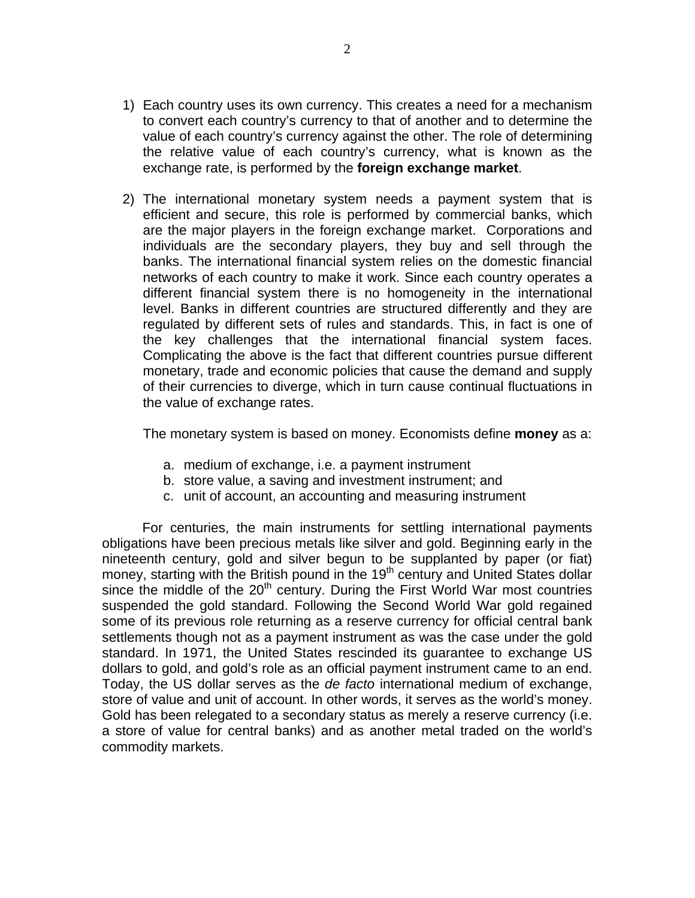- 1) Each country uses its own currency. This creates a need for a mechanism to convert each country's currency to that of another and to determine the value of each country's currency against the other. The role of determining the relative value of each country's currency, what is known as the exchange rate, is performed by the **foreign exchange market**.
- 2) The international monetary system needs a payment system that is efficient and secure, this role is performed by commercial banks, which are the major players in the foreign exchange market. Corporations and individuals are the secondary players, they buy and sell through the banks. The international financial system relies on the domestic financial networks of each country to make it work. Since each country operates a different financial system there is no homogeneity in the international level. Banks in different countries are structured differently and they are regulated by different sets of rules and standards. This, in fact is one of the key challenges that the international financial system faces. Complicating the above is the fact that different countries pursue different monetary, trade and economic policies that cause the demand and supply of their currencies to diverge, which in turn cause continual fluctuations in the value of exchange rates.

The monetary system is based on money. Economists define **money** as a:

- a. medium of exchange, i.e. a payment instrument
- b. store value, a saving and investment instrument; and
- c. unit of account, an accounting and measuring instrument

For centuries, the main instruments for settling international payments obligations have been precious metals like silver and gold. Beginning early in the nineteenth century, gold and silver begun to be supplanted by paper (or fiat) money, starting with the British pound in the 19<sup>th</sup> century and United States dollar since the middle of the  $20<sup>th</sup>$  century. During the First World War most countries suspended the gold standard. Following the Second World War gold regained some of its previous role returning as a reserve currency for official central bank settlements though not as a payment instrument as was the case under the gold standard. In 1971, the United States rescinded its guarantee to exchange US dollars to gold, and gold's role as an official payment instrument came to an end. Today, the US dollar serves as the *de facto* international medium of exchange, store of value and unit of account. In other words, it serves as the world's money. Gold has been relegated to a secondary status as merely a reserve currency (i.e. a store of value for central banks) and as another metal traded on the world's commodity markets.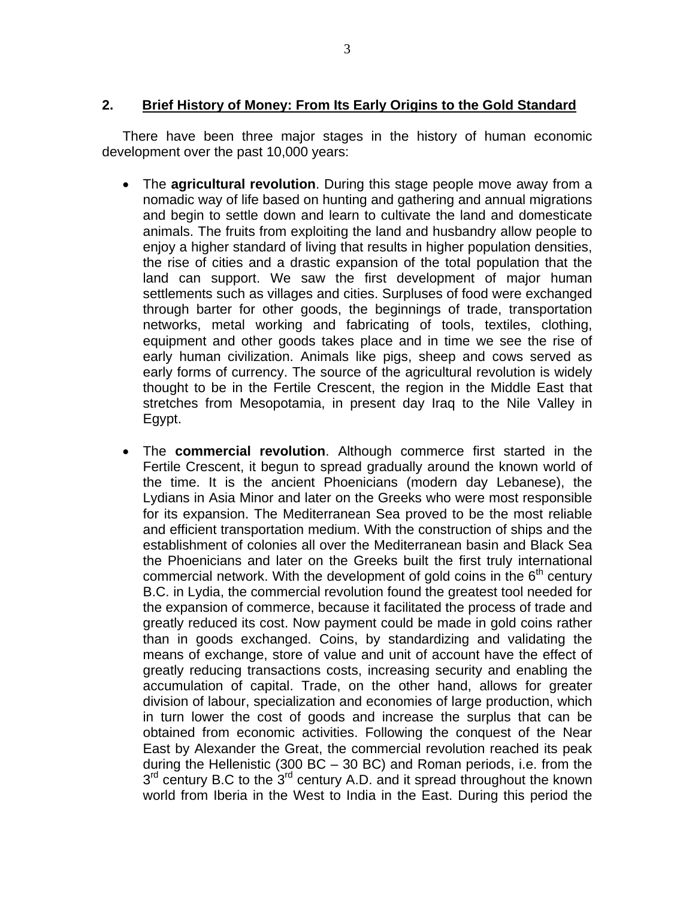### **2. Brief History of Money: From Its Early Origins to the Gold Standard**

There have been three major stages in the history of human economic development over the past 10,000 years:

- The **agricultural revolution**. During this stage people move away from a nomadic way of life based on hunting and gathering and annual migrations and begin to settle down and learn to cultivate the land and domesticate animals. The fruits from exploiting the land and husbandry allow people to enjoy a higher standard of living that results in higher population densities, the rise of cities and a drastic expansion of the total population that the land can support. We saw the first development of major human settlements such as villages and cities. Surpluses of food were exchanged through barter for other goods, the beginnings of trade, transportation networks, metal working and fabricating of tools, textiles, clothing, equipment and other goods takes place and in time we see the rise of early human civilization. Animals like pigs, sheep and cows served as early forms of currency. The source of the agricultural revolution is widely thought to be in the Fertile Crescent, the region in the Middle East that stretches from Mesopotamia, in present day Iraq to the Nile Valley in Egypt.
- The **commercial revolution**. Although commerce first started in the Fertile Crescent, it begun to spread gradually around the known world of the time. It is the ancient Phoenicians (modern day Lebanese), the Lydians in Asia Minor and later on the Greeks who were most responsible for its expansion. The Mediterranean Sea proved to be the most reliable and efficient transportation medium. With the construction of ships and the establishment of colonies all over the Mediterranean basin and Black Sea the Phoenicians and later on the Greeks built the first truly international commercial network. With the development of gold coins in the  $6<sup>th</sup>$  century B.C. in Lydia, the commercial revolution found the greatest tool needed for the expansion of commerce, because it facilitated the process of trade and greatly reduced its cost. Now payment could be made in gold coins rather than in goods exchanged. Coins, by standardizing and validating the means of exchange, store of value and unit of account have the effect of greatly reducing transactions costs, increasing security and enabling the accumulation of capital. Trade, on the other hand, allows for greater division of labour, specialization and economies of large production, which in turn lower the cost of goods and increase the surplus that can be obtained from economic activities. Following the conquest of the Near East by Alexander the Great, the commercial revolution reached its peak during the Hellenistic (300 BC – 30 BC) and Roman periods, i.e. from the  $3<sup>rd</sup>$  century B.C to the  $3<sup>rd</sup>$  century A.D. and it spread throughout the known world from Iberia in the West to India in the East. During this period the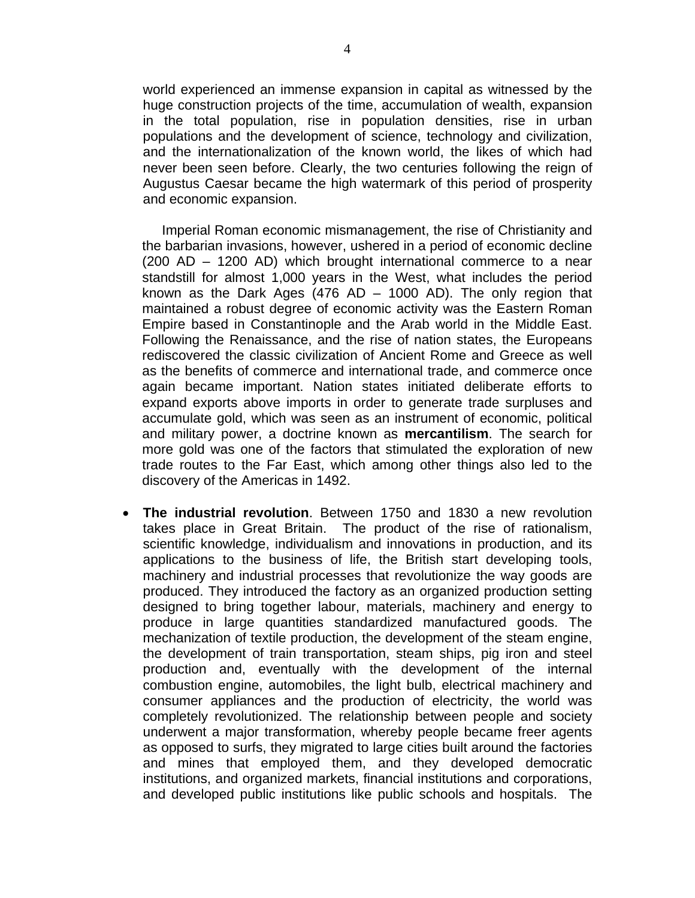world experienced an immense expansion in capital as witnessed by the huge construction projects of the time, accumulation of wealth, expansion in the total population, rise in population densities, rise in urban populations and the development of science, technology and civilization, and the internationalization of the known world, the likes of which had never been seen before. Clearly, the two centuries following the reign of Augustus Caesar became the high watermark of this period of prosperity and economic expansion.

Imperial Roman economic mismanagement, the rise of Christianity and the barbarian invasions, however, ushered in a period of economic decline (200 AD – 1200 AD) which brought international commerce to a near standstill for almost 1,000 years in the West, what includes the period known as the Dark Ages (476 AD  $-$  1000 AD). The only region that maintained a robust degree of economic activity was the Eastern Roman Empire based in Constantinople and the Arab world in the Middle East. Following the Renaissance, and the rise of nation states, the Europeans rediscovered the classic civilization of Ancient Rome and Greece as well as the benefits of commerce and international trade, and commerce once again became important. Nation states initiated deliberate efforts to expand exports above imports in order to generate trade surpluses and accumulate gold, which was seen as an instrument of economic, political and military power, a doctrine known as **mercantilism**. The search for more gold was one of the factors that stimulated the exploration of new trade routes to the Far East, which among other things also led to the discovery of the Americas in 1492.

• **The industrial revolution**. Between 1750 and 1830 a new revolution takes place in Great Britain. The product of the rise of rationalism, scientific knowledge, individualism and innovations in production, and its applications to the business of life, the British start developing tools, machinery and industrial processes that revolutionize the way goods are produced. They introduced the factory as an organized production setting designed to bring together labour, materials, machinery and energy to produce in large quantities standardized manufactured goods. The mechanization of textile production, the development of the steam engine, the development of train transportation, steam ships, pig iron and steel production and, eventually with the development of the internal combustion engine, automobiles, the light bulb, electrical machinery and consumer appliances and the production of electricity, the world was completely revolutionized. The relationship between people and society underwent a major transformation, whereby people became freer agents as opposed to surfs, they migrated to large cities built around the factories and mines that employed them, and they developed democratic institutions, and organized markets, financial institutions and corporations, and developed public institutions like public schools and hospitals. The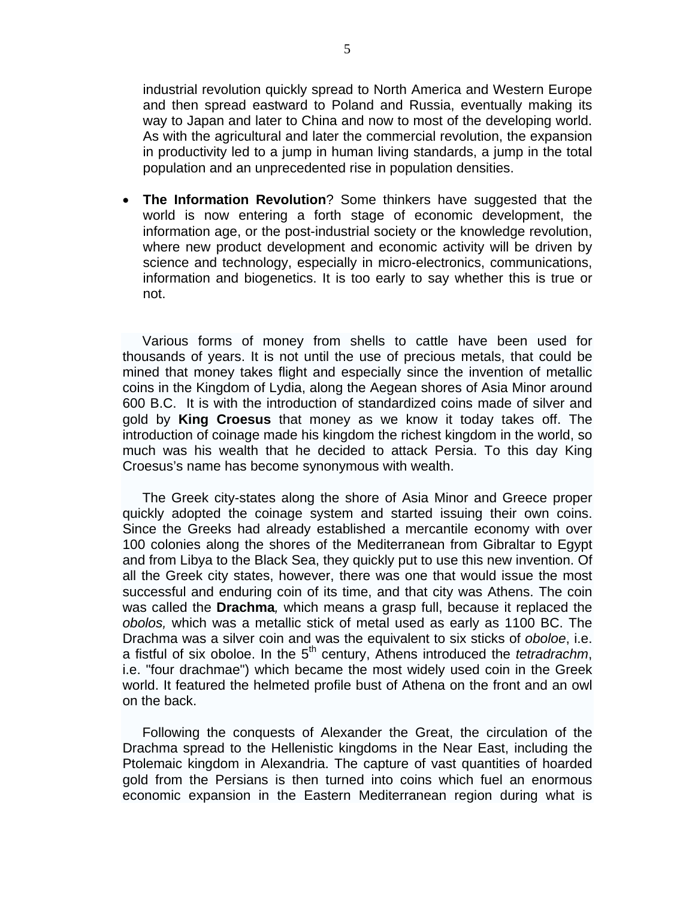industrial revolution quickly spread to North America and Western Europe and then spread eastward to Poland and Russia, eventually making its way to Japan and later to China and now to most of the developing world. As with the agricultural and later the commercial revolution, the expansion in productivity led to a jump in human living standards, a jump in the total population and an unprecedented rise in population densities.

• **The Information Revolution**? Some thinkers have suggested that the world is now entering a forth stage of economic development, the information age, or the post-industrial society or the knowledge revolution, where new product development and economic activity will be driven by science and technology, especially in micro-electronics, communications, information and biogenetics. It is too early to say whether this is true or not.

Various forms of money from shells to cattle have been used for thousands of years. It is not until the use of precious metals, that could be mined that money takes flight and especially since the invention of metallic coins in the Kingdom of Lydia, along the Aegean shores of Asia Minor around 600 B.C. It is with the introduction of standardized coins made of silver and gold by **King Croesus** that money as we know it today takes off. The introduction of coinage made his kingdom the richest kingdom in the world, so much was his wealth that he decided to attack Persia. To this day King Croesus's name has become synonymous with wealth.

The Greek city-states along the shore of Asia Minor and Greece proper quickly adopted the coinage system and started issuing their own coins. Since the Greeks had already established a mercantile economy with over 100 colonies along the shores of the Mediterranean from Gibraltar to Egypt and from Libya to the Black Sea, they quickly put to use this new invention. Of all the Greek city states, however, there was one that would issue the most successful and enduring coin of its time, and that city was Athens. The coin was called the **Drachma***,* which means a grasp full, because it replaced the *obolos,* which was a metallic stick of metal used as early as 1100 BC. The Drachma was a silver coin and was the equivalent to six sticks of *oboloe*, i.e. a fistful of six oboloe. In the 5<sup>th</sup> century, Athens introduced the *tetradrachm*, i.e. "four drachmae") which became the most widely used coin in the Greek world. It featured the helmeted profile bust of Athena on the front and an owl on the back.

Following the conquests of Alexander the Great, the circulation of the Drachma spread to the Hellenistic kingdoms in the Near East, including the Ptolemaic kingdom in Alexandria. The capture of vast quantities of hoarded gold from the Persians is then turned into coins which fuel an enormous economic expansion in the Eastern Mediterranean region during what is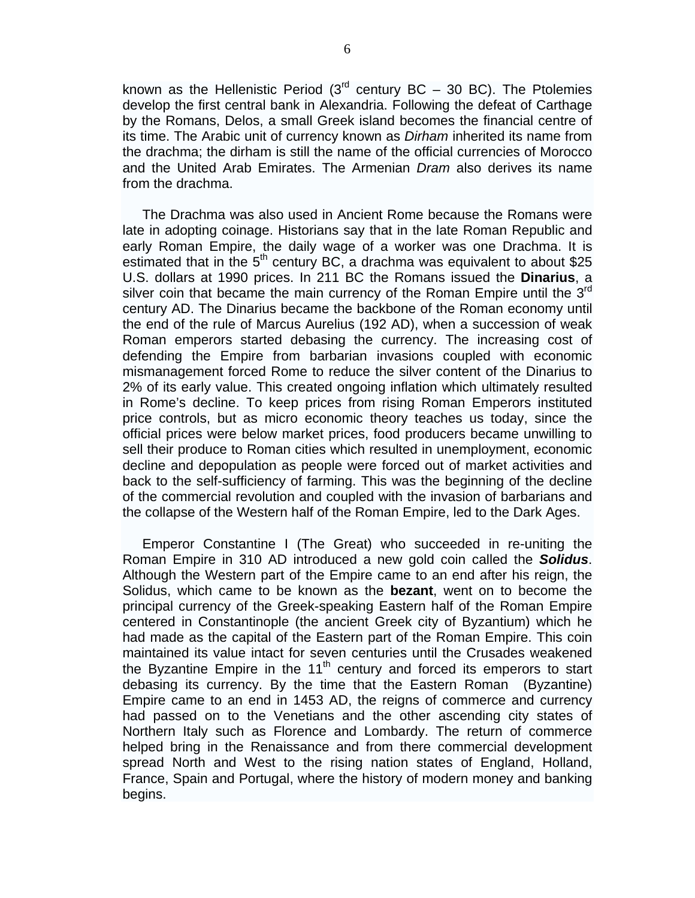known as the Hellenistic Period ( $3<sup>rd</sup>$  century BC – 30 BC). The Ptolemies develop the first central bank in Alexandria. Following the defeat of Carthage by the Romans, Delos, a small Greek island becomes the financial centre of its time. The Arabic unit of currency known as *Dirham* inherited its name from the drachma; the dirham is still the name of the official currencies of Morocco and the United Arab Emirates. The Armenian *Dram* also derives its name from the drachma.

The Drachma was also used in Ancient Rome because the Romans were late in adopting coinage. Historians say that in the late Roman Republic and early Roman Empire, the daily wage of a worker was one Drachma. It is estimated that in the  $5<sup>th</sup>$  century BC, a drachma was equivalent to about \$25 U.S. dollars at 1990 prices. In 211 BC the Romans issued the **Dinarius**, a silver coin that became the main currency of the Roman Empire until the  $3<sup>rd</sup>$ century AD. The Dinarius became the backbone of the Roman economy until the end of the rule of Marcus Aurelius (192 AD), when a succession of weak Roman emperors started debasing the currency. The increasing cost of defending the Empire from barbarian invasions coupled with economic mismanagement forced Rome to reduce the silver content of the Dinarius to 2% of its early value. This created ongoing inflation which ultimately resulted in Rome's decline. To keep prices from rising Roman Emperors instituted price controls, but as micro economic theory teaches us today, since the official prices were below market prices, food producers became unwilling to sell their produce to Roman cities which resulted in unemployment, economic decline and depopulation as people were forced out of market activities and back to the self-sufficiency of farming. This was the beginning of the decline of the commercial revolution and coupled with the invasion of barbarians and the collapse of the Western half of the Roman Empire, led to the Dark Ages.

Emperor Constantine I (The Great) who succeeded in re-uniting the Roman Empire in 310 AD introduced a new gold coin called the *Solidus*. Although the Western part of the Empire came to an end after his reign, the Solidus, which came to be known as the **bezant**, went on to become the principal currency of the Greek-speaking Eastern half of the Roman Empire centered in Constantinople (the ancient Greek city of Byzantium) which he had made as the capital of the Eastern part of the Roman Empire. This coin maintained its value intact for seven centuries until the Crusades weakened the Byzantine Empire in the  $11<sup>th</sup>$  century and forced its emperors to start debasing its currency. By the time that the Eastern Roman (Byzantine) Empire came to an end in 1453 AD, the reigns of commerce and currency had passed on to the Venetians and the other ascending city states of Northern Italy such as Florence and Lombardy. The return of commerce helped bring in the Renaissance and from there commercial development spread North and West to the rising nation states of England, Holland, France, Spain and Portugal, where the history of modern money and banking begins.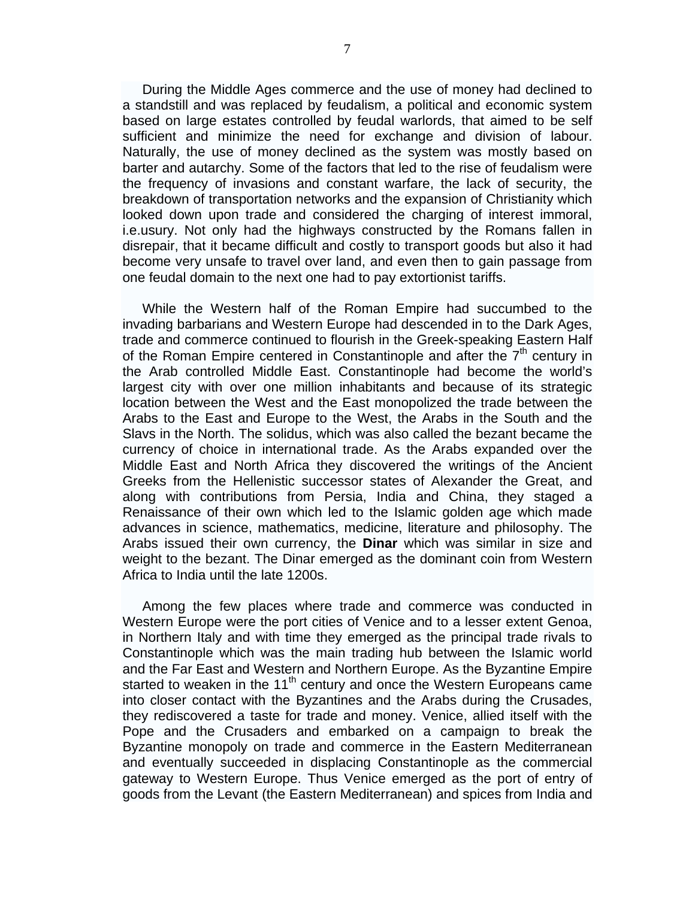During the Middle Ages commerce and the use of money had declined to a standstill and was replaced by feudalism, a political and economic system based on large estates controlled by feudal warlords, that aimed to be self sufficient and minimize the need for exchange and division of labour. Naturally, the use of money declined as the system was mostly based on barter and autarchy. Some of the factors that led to the rise of feudalism were the frequency of invasions and constant warfare, the lack of security, the breakdown of transportation networks and the expansion of Christianity which looked down upon trade and considered the charging of interest immoral, i.e.usury. Not only had the highways constructed by the Romans fallen in disrepair, that it became difficult and costly to transport goods but also it had become very unsafe to travel over land, and even then to gain passage from one feudal domain to the next one had to pay extortionist tariffs.

While the Western half of the Roman Empire had succumbed to the invading barbarians and Western Europe had descended in to the Dark Ages, trade and commerce continued to flourish in the Greek-speaking Eastern Half of the Roman Empire centered in Constantinople and after the  $7<sup>th</sup>$  century in the Arab controlled Middle East. Constantinople had become the world's largest city with over one million inhabitants and because of its strategic location between the West and the East monopolized the trade between the Arabs to the East and Europe to the West, the Arabs in the South and the Slavs in the North. The solidus, which was also called the bezant became the currency of choice in international trade. As the Arabs expanded over the Middle East and North Africa they discovered the writings of the Ancient Greeks from the Hellenistic successor states of Alexander the Great, and along with contributions from Persia, India and China, they staged a Renaissance of their own which led to the Islamic golden age which made advances in science, mathematics, medicine, literature and philosophy. The Arabs issued their own currency, the **Dinar** which was similar in size and weight to the bezant. The Dinar emerged as the dominant coin from Western Africa to India until the late 1200s.

Among the few places where trade and commerce was conducted in Western Europe were the port cities of Venice and to a lesser extent Genoa, in Northern Italy and with time they emerged as the principal trade rivals to Constantinople which was the main trading hub between the Islamic world and the Far East and Western and Northern Europe. As the Byzantine Empire started to weaken in the 11<sup>th</sup> century and once the Western Europeans came into closer contact with the Byzantines and the Arabs during the Crusades, they rediscovered a taste for trade and money. Venice, allied itself with the Pope and the Crusaders and embarked on a campaign to break the Byzantine monopoly on trade and commerce in the Eastern Mediterranean and eventually succeeded in displacing Constantinople as the commercial gateway to Western Europe. Thus Venice emerged as the port of entry of goods from the Levant (the Eastern Mediterranean) and spices from India and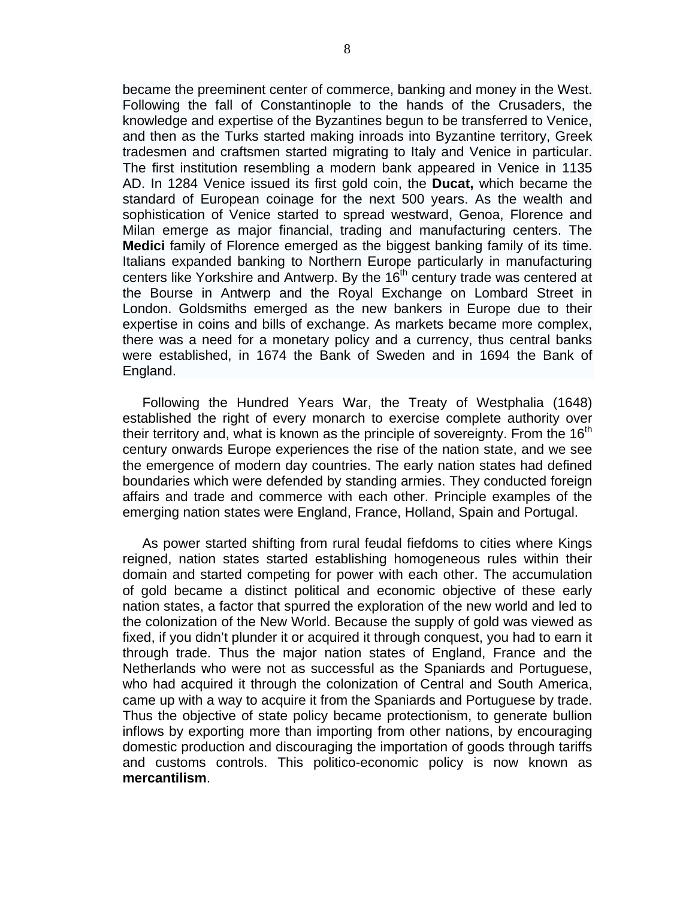became the preeminent center of commerce, banking and money in the West. Following the fall of Constantinople to the hands of the Crusaders, the knowledge and expertise of the Byzantines begun to be transferred to Venice, and then as the Turks started making inroads into Byzantine territory, Greek tradesmen and craftsmen started migrating to Italy and Venice in particular. The first institution resembling a modern bank appeared in Venice in 1135 AD. In 1284 Venice issued its first gold coin, the **Ducat,** which became the standard of European coinage for the next 500 years. As the wealth and sophistication of Venice started to spread westward, Genoa, Florence and Milan emerge as major financial, trading and manufacturing centers. The **Medici** family of Florence emerged as the biggest banking family of its time. Italians expanded banking to Northern Europe particularly in manufacturing centers like Yorkshire and Antwerp. By the 16<sup>th</sup> century trade was centered at the Bourse in Antwerp and the Royal Exchange on Lombard Street in London. Goldsmiths emerged as the new bankers in Europe due to their expertise in coins and bills of exchange. As markets became more complex, there was a need for a monetary policy and a currency, thus central banks were established, in 1674 the Bank of Sweden and in 1694 the Bank of England.

Following the Hundred Years War, the Treaty of Westphalia (1648) established the right of every monarch to exercise complete authority over their territory and, what is known as the principle of sovereignty. From the  $16<sup>th</sup>$ century onwards Europe experiences the rise of the nation state, and we see the emergence of modern day countries. The early nation states had defined boundaries which were defended by standing armies. They conducted foreign affairs and trade and commerce with each other. Principle examples of the emerging nation states were England, France, Holland, Spain and Portugal.

As power started shifting from rural feudal fiefdoms to cities where Kings reigned, nation states started establishing homogeneous rules within their domain and started competing for power with each other. The accumulation of gold became a distinct political and economic objective of these early nation states, a factor that spurred the exploration of the new world and led to the colonization of the New World. Because the supply of gold was viewed as fixed, if you didn't plunder it or acquired it through conquest, you had to earn it through trade. Thus the major nation states of England, France and the Netherlands who were not as successful as the Spaniards and Portuguese, who had acquired it through the colonization of Central and South America, came up with a way to acquire it from the Spaniards and Portuguese by trade. Thus the objective of state policy became protectionism, to generate bullion inflows by exporting more than importing from other nations, by encouraging domestic production and discouraging the importation of goods through tariffs and customs controls. This politico-economic policy is now known as **mercantilism**.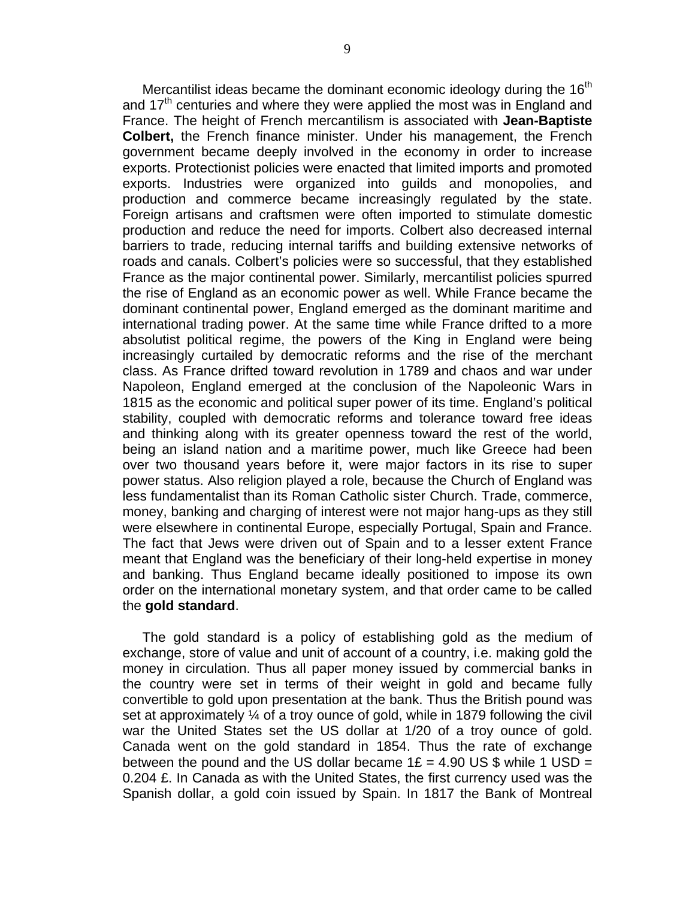Mercantilist ideas became the dominant economic ideology during the  $16<sup>th</sup>$ and 17<sup>th</sup> centuries and where they were applied the most was in England and France. The height of French mercantilism is associated with **Jean-Baptiste Colbert,** the French finance minister. Under his management, the French government became deeply involved in the economy in order to increase exports. Protectionist policies were enacted that limited imports and promoted exports. Industries were organized into guilds and monopolies, and production and commerce became increasingly regulated by the state. Foreign artisans and craftsmen were often imported to stimulate domestic production and reduce the need for imports. Colbert also decreased internal barriers to trade, reducing internal tariffs and building extensive networks of roads and canals. Colbert's policies were so successful, that they established France as the major continental power. Similarly, mercantilist policies spurred the rise of England as an economic power as well. While France became the dominant continental power, England emerged as the dominant maritime and international trading power. At the same time while France drifted to a more absolutist political regime, the powers of the King in England were being increasingly curtailed by democratic reforms and the rise of the merchant class. As France drifted toward revolution in 1789 and chaos and war under Napoleon, England emerged at the conclusion of the Napoleonic Wars in 1815 as the economic and political super power of its time. England's political stability, coupled with democratic reforms and tolerance toward free ideas and thinking along with its greater openness toward the rest of the world, being an island nation and a maritime power, much like Greece had been over two thousand years before it, were major factors in its rise to super power status. Also religion played a role, because the Church of England was less fundamentalist than its Roman Catholic sister Church. Trade, commerce, money, banking and charging of interest were not major hang-ups as they still were elsewhere in continental Europe, especially Portugal, Spain and France. The fact that Jews were driven out of Spain and to a lesser extent France meant that England was the beneficiary of their long-held expertise in money and banking. Thus England became ideally positioned to impose its own order on the international monetary system, and that order came to be called the **gold standard**.

The gold standard is a policy of establishing gold as the medium of exchange, store of value and unit of account of a country, i.e. making gold the money in circulation. Thus all paper money issued by commercial banks in the country were set in terms of their weight in gold and became fully convertible to gold upon presentation at the bank. Thus the British pound was set at approximately ¼ of a troy ounce of gold, while in 1879 following the civil war the United States set the US dollar at 1/20 of a troy ounce of gold. Canada went on the gold standard in 1854. Thus the rate of exchange between the pound and the US dollar became  $1E = 4.90 \text{ US }$ \$ while 1 USD = 0.204 £. In Canada as with the United States, the first currency used was the Spanish dollar, a gold coin issued by Spain. In 1817 the Bank of Montreal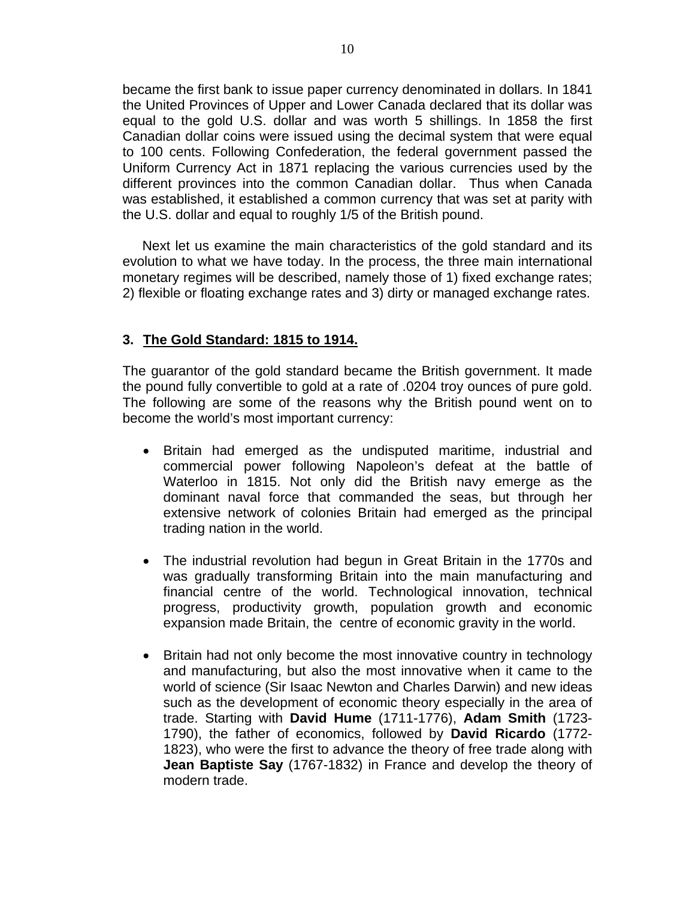became the first bank to issue paper currency denominated in dollars. In 1841 the United Provinces of Upper and Lower Canada declared that its dollar was equal to the gold U.S. dollar and was worth 5 shillings. In 1858 the first Canadian dollar coins were issued using the decimal system that were equal to 100 cents. Following Confederation, the federal government passed the Uniform Currency Act in 1871 replacing the various currencies used by the different provinces into the common Canadian dollar. Thus when Canada was established, it established a common currency that was set at parity with the U.S. dollar and equal to roughly 1/5 of the British pound.

Next let us examine the main characteristics of the gold standard and its evolution to what we have today. In the process, the three main international monetary regimes will be described, namely those of 1) fixed exchange rates; 2) flexible or floating exchange rates and 3) dirty or managed exchange rates.

#### **3. The Gold Standard: 1815 to 1914.**

The guarantor of the gold standard became the British government. It made the pound fully convertible to gold at a rate of .0204 troy ounces of pure gold. The following are some of the reasons why the British pound went on to become the world's most important currency:

- Britain had emerged as the undisputed maritime, industrial and commercial power following Napoleon's defeat at the battle of Waterloo in 1815. Not only did the British navy emerge as the dominant naval force that commanded the seas, but through her extensive network of colonies Britain had emerged as the principal trading nation in the world.
- The industrial revolution had begun in Great Britain in the 1770s and was gradually transforming Britain into the main manufacturing and financial centre of the world. Technological innovation, technical progress, productivity growth, population growth and economic expansion made Britain, the centre of economic gravity in the world.
- Britain had not only become the most innovative country in technology and manufacturing, but also the most innovative when it came to the world of science (Sir Isaac Newton and Charles Darwin) and new ideas such as the development of economic theory especially in the area of trade. Starting with **David Hume** (1711-1776), **Adam Smith** (1723- 1790), the father of economics, followed by **David Ricardo** (1772- 1823), who were the first to advance the theory of free trade along with **Jean Baptiste Say** (1767-1832) in France and develop the theory of modern trade.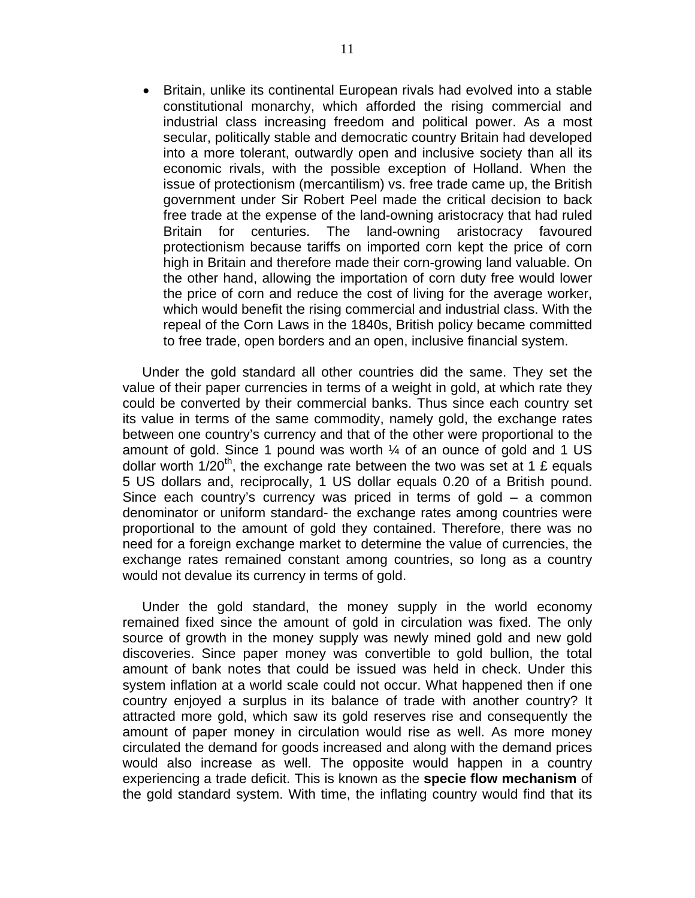• Britain, unlike its continental European rivals had evolved into a stable constitutional monarchy, which afforded the rising commercial and industrial class increasing freedom and political power. As a most secular, politically stable and democratic country Britain had developed into a more tolerant, outwardly open and inclusive society than all its economic rivals, with the possible exception of Holland. When the issue of protectionism (mercantilism) vs. free trade came up, the British government under Sir Robert Peel made the critical decision to back free trade at the expense of the land-owning aristocracy that had ruled Britain for centuries. The land-owning aristocracy favoured protectionism because tariffs on imported corn kept the price of corn high in Britain and therefore made their corn-growing land valuable. On the other hand, allowing the importation of corn duty free would lower the price of corn and reduce the cost of living for the average worker, which would benefit the rising commercial and industrial class. With the repeal of the Corn Laws in the 1840s, British policy became committed to free trade, open borders and an open, inclusive financial system.

Under the gold standard all other countries did the same. They set the value of their paper currencies in terms of a weight in gold, at which rate they could be converted by their commercial banks. Thus since each country set its value in terms of the same commodity, namely gold, the exchange rates between one country's currency and that of the other were proportional to the amount of gold. Since 1 pound was worth  $\frac{1}{4}$  of an ounce of gold and 1 US dollar worth  $1/20^{th}$ , the exchange rate between the two was set at 1 £ equals 5 US dollars and, reciprocally, 1 US dollar equals 0.20 of a British pound. Since each country's currency was priced in terms of gold – a common denominator or uniform standard- the exchange rates among countries were proportional to the amount of gold they contained. Therefore, there was no need for a foreign exchange market to determine the value of currencies, the exchange rates remained constant among countries, so long as a country would not devalue its currency in terms of gold.

Under the gold standard, the money supply in the world economy remained fixed since the amount of gold in circulation was fixed. The only source of growth in the money supply was newly mined gold and new gold discoveries. Since paper money was convertible to gold bullion, the total amount of bank notes that could be issued was held in check. Under this system inflation at a world scale could not occur. What happened then if one country enjoyed a surplus in its balance of trade with another country? It attracted more gold, which saw its gold reserves rise and consequently the amount of paper money in circulation would rise as well. As more money circulated the demand for goods increased and along with the demand prices would also increase as well. The opposite would happen in a country experiencing a trade deficit. This is known as the **specie flow mechanism** of the gold standard system. With time, the inflating country would find that its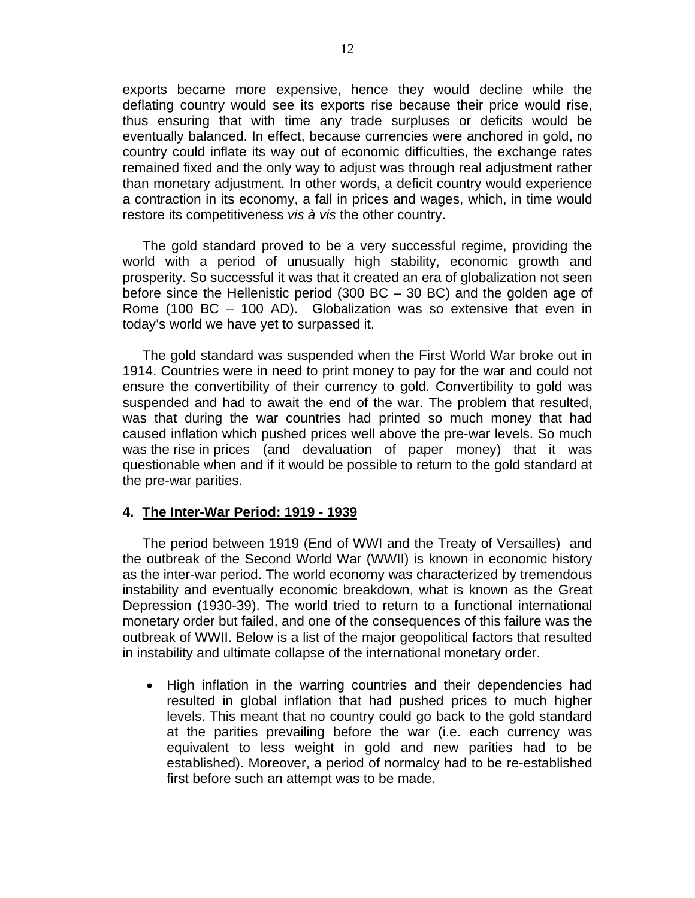exports became more expensive, hence they would decline while the deflating country would see its exports rise because their price would rise, thus ensuring that with time any trade surpluses or deficits would be eventually balanced. In effect, because currencies were anchored in gold, no country could inflate its way out of economic difficulties, the exchange rates remained fixed and the only way to adjust was through real adjustment rather than monetary adjustment. In other words, a deficit country would experience a contraction in its economy, a fall in prices and wages, which, in time would restore its competitiveness *vis à vis* the other country.

The gold standard proved to be a very successful regime, providing the world with a period of unusually high stability, economic growth and prosperity. So successful it was that it created an era of globalization not seen before since the Hellenistic period (300 BC – 30 BC) and the golden age of Rome (100 BC – 100 AD). Globalization was so extensive that even in today's world we have yet to surpassed it.

The gold standard was suspended when the First World War broke out in 1914. Countries were in need to print money to pay for the war and could not ensure the convertibility of their currency to gold. Convertibility to gold was suspended and had to await the end of the war. The problem that resulted, was that during the war countries had printed so much money that had caused inflation which pushed prices well above the pre-war levels. So much was the rise in prices (and devaluation of paper money) that it was questionable when and if it would be possible to return to the gold standard at the pre-war parities.

#### **4. The Inter-War Period: 1919 - 1939**

The period between 1919 (End of WWI and the Treaty of Versailles) and the outbreak of the Second World War (WWII) is known in economic history as the inter-war period. The world economy was characterized by tremendous instability and eventually economic breakdown, what is known as the Great Depression (1930-39). The world tried to return to a functional international monetary order but failed, and one of the consequences of this failure was the outbreak of WWII. Below is a list of the major geopolitical factors that resulted in instability and ultimate collapse of the international monetary order.

• High inflation in the warring countries and their dependencies had resulted in global inflation that had pushed prices to much higher levels. This meant that no country could go back to the gold standard at the parities prevailing before the war (i.e. each currency was equivalent to less weight in gold and new parities had to be established). Moreover, a period of normalcy had to be re-established first before such an attempt was to be made.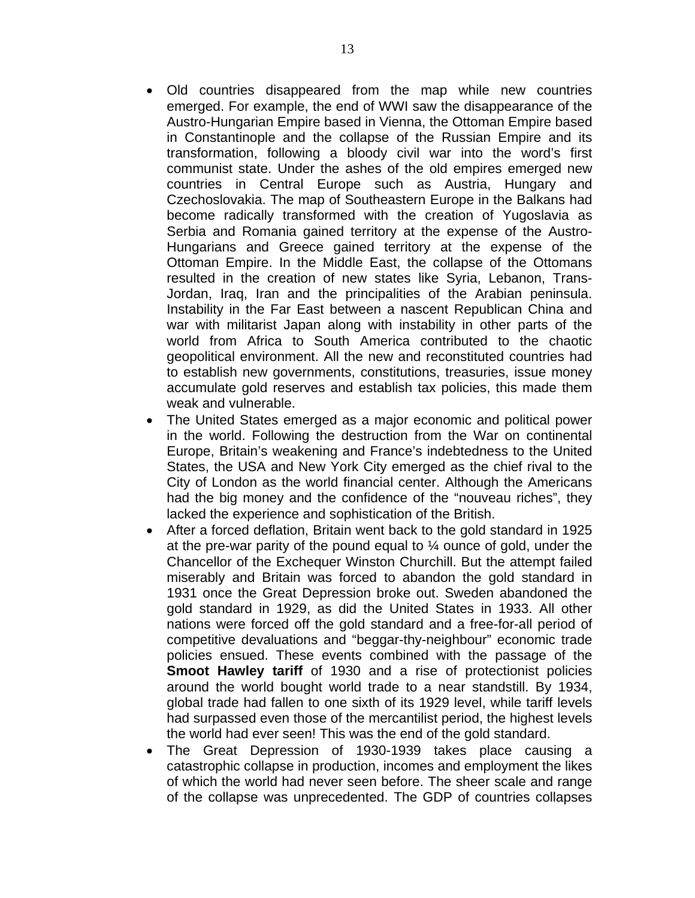- Old countries disappeared from the map while new countries emerged. For example, the end of WWI saw the disappearance of the Austro-Hungarian Empire based in Vienna, the Ottoman Empire based in Constantinople and the collapse of the Russian Empire and its transformation, following a bloody civil war into the word's first communist state. Under the ashes of the old empires emerged new countries in Central Europe such as Austria, Hungary and Czechoslovakia. The map of Southeastern Europe in the Balkans had become radically transformed with the creation of Yugoslavia as Serbia and Romania gained territory at the expense of the Austro-Hungarians and Greece gained territory at the expense of the Ottoman Empire. In the Middle East, the collapse of the Ottomans resulted in the creation of new states like Syria, Lebanon, Trans-Jordan, Iraq, Iran and the principalities of the Arabian peninsula. Instability in the Far East between a nascent Republican China and war with militarist Japan along with instability in other parts of the world from Africa to South America contributed to the chaotic geopolitical environment. All the new and reconstituted countries had to establish new governments, constitutions, treasuries, issue money accumulate gold reserves and establish tax policies, this made them weak and vulnerable.
- The United States emerged as a major economic and political power in the world. Following the destruction from the War on continental Europe, Britain's weakening and France's indebtedness to the United States, the USA and New York City emerged as the chief rival to the City of London as the world financial center. Although the Americans had the big money and the confidence of the "nouveau riches", they lacked the experience and sophistication of the British.
- After a forced deflation, Britain went back to the gold standard in 1925 at the pre-war parity of the pound equal to  $\frac{1}{4}$  ounce of gold, under the Chancellor of the Exchequer Winston Churchill. But the attempt failed miserably and Britain was forced to abandon the gold standard in 1931 once the Great Depression broke out. Sweden abandoned the gold standard in 1929, as did the United States in 1933. All other nations were forced off the gold standard and a free-for-all period of competitive devaluations and "beggar-thy-neighbour" economic trade policies ensued. These events combined with the passage of the **Smoot Hawley tariff** of 1930 and a rise of protectionist policies around the world bought world trade to a near standstill. By 1934, global trade had fallen to one sixth of its 1929 level, while tariff levels had surpassed even those of the mercantilist period, the highest levels the world had ever seen! This was the end of the gold standard.
- The Great Depression of 1930-1939 takes place causing a catastrophic collapse in production, incomes and employment the likes of which the world had never seen before. The sheer scale and range of the collapse was unprecedented. The GDP of countries collapses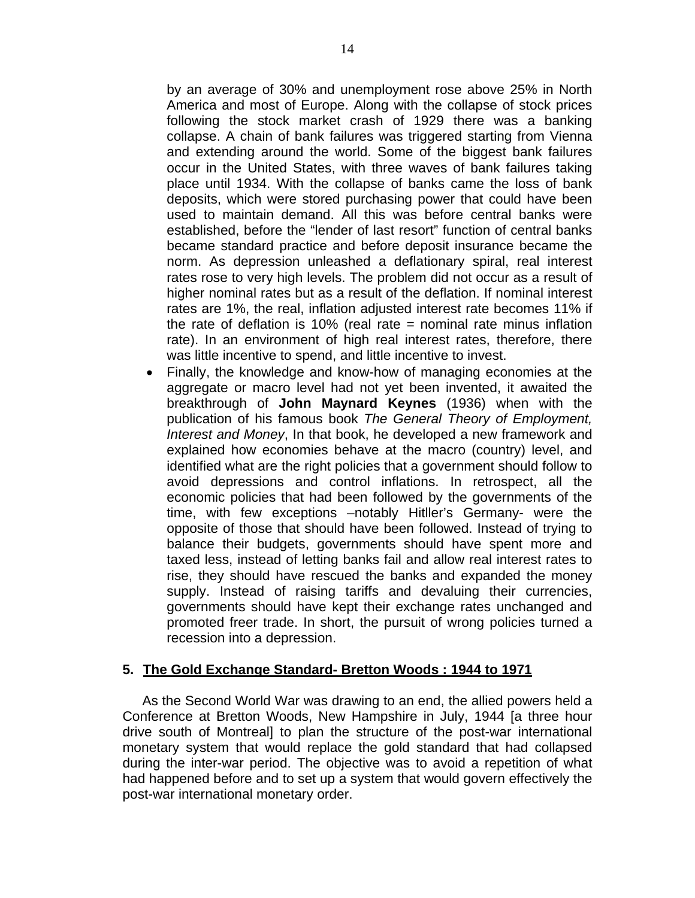by an average of 30% and unemployment rose above 25% in North America and most of Europe. Along with the collapse of stock prices following the stock market crash of 1929 there was a banking collapse. A chain of bank failures was triggered starting from Vienna and extending around the world. Some of the biggest bank failures occur in the United States, with three waves of bank failures taking place until 1934. With the collapse of banks came the loss of bank deposits, which were stored purchasing power that could have been used to maintain demand. All this was before central banks were established, before the "lender of last resort" function of central banks became standard practice and before deposit insurance became the norm. As depression unleashed a deflationary spiral, real interest rates rose to very high levels. The problem did not occur as a result of higher nominal rates but as a result of the deflation. If nominal interest rates are 1%, the real, inflation adjusted interest rate becomes 11% if the rate of deflation is 10% (real rate = nominal rate minus inflation rate). In an environment of high real interest rates, therefore, there was little incentive to spend, and little incentive to invest.

• Finally, the knowledge and know-how of managing economies at the aggregate or macro level had not yet been invented, it awaited the breakthrough of **John Maynard Keynes** (1936) when with the publication of his famous book *The General Theory of Employment, Interest and Money*, In that book, he developed a new framework and explained how economies behave at the macro (country) level, and identified what are the right policies that a government should follow to avoid depressions and control inflations. In retrospect, all the economic policies that had been followed by the governments of the time, with few exceptions –notably Hitller's Germany- were the opposite of those that should have been followed. Instead of trying to balance their budgets, governments should have spent more and taxed less, instead of letting banks fail and allow real interest rates to rise, they should have rescued the banks and expanded the money supply. Instead of raising tariffs and devaluing their currencies, governments should have kept their exchange rates unchanged and promoted freer trade. In short, the pursuit of wrong policies turned a recession into a depression.

#### **5. The Gold Exchange Standard- Bretton Woods : 1944 to 1971**

As the Second World War was drawing to an end, the allied powers held a Conference at Bretton Woods, New Hampshire in July, 1944 [a three hour drive south of Montreal] to plan the structure of the post-war international monetary system that would replace the gold standard that had collapsed during the inter-war period. The objective was to avoid a repetition of what had happened before and to set up a system that would govern effectively the post-war international monetary order.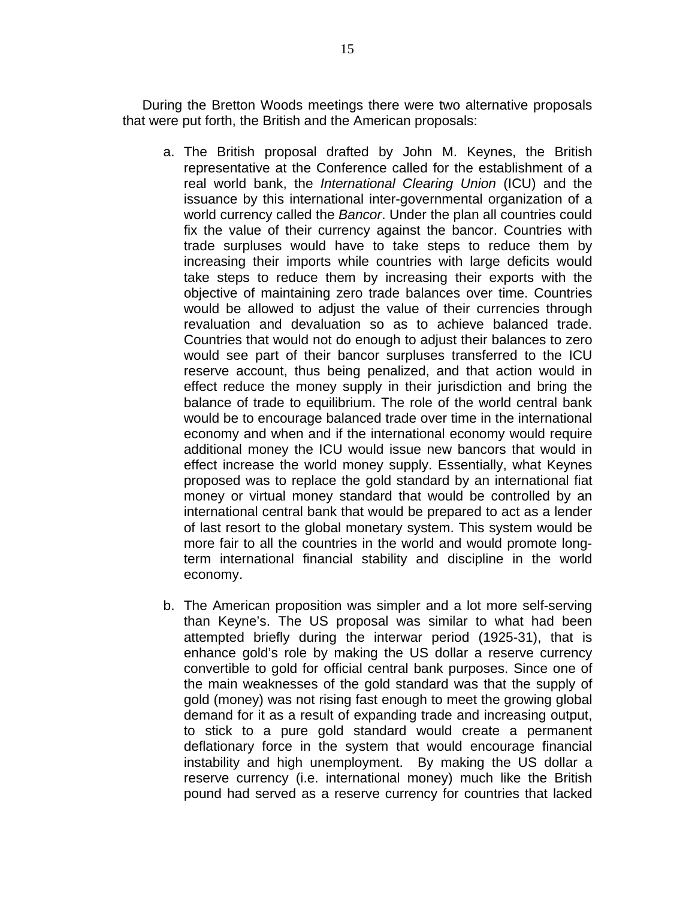During the Bretton Woods meetings there were two alternative proposals that were put forth, the British and the American proposals:

- a. The British proposal drafted by John M. Keynes, the British representative at the Conference called for the establishment of a real world bank, the *International Clearing Union* (ICU) and the issuance by this international inter-governmental organization of a world currency called the *Bancor*. Under the plan all countries could fix the value of their currency against the bancor. Countries with trade surpluses would have to take steps to reduce them by increasing their imports while countries with large deficits would take steps to reduce them by increasing their exports with the objective of maintaining zero trade balances over time. Countries would be allowed to adjust the value of their currencies through revaluation and devaluation so as to achieve balanced trade. Countries that would not do enough to adjust their balances to zero would see part of their bancor surpluses transferred to the ICU reserve account, thus being penalized, and that action would in effect reduce the money supply in their jurisdiction and bring the balance of trade to equilibrium. The role of the world central bank would be to encourage balanced trade over time in the international economy and when and if the international economy would require additional money the ICU would issue new bancors that would in effect increase the world money supply. Essentially, what Keynes proposed was to replace the gold standard by an international fiat money or virtual money standard that would be controlled by an international central bank that would be prepared to act as a lender of last resort to the global monetary system. This system would be more fair to all the countries in the world and would promote longterm international financial stability and discipline in the world economy.
- b. The American proposition was simpler and a lot more self-serving than Keyne's. The US proposal was similar to what had been attempted briefly during the interwar period (1925-31), that is enhance gold's role by making the US dollar a reserve currency convertible to gold for official central bank purposes. Since one of the main weaknesses of the gold standard was that the supply of gold (money) was not rising fast enough to meet the growing global demand for it as a result of expanding trade and increasing output, to stick to a pure gold standard would create a permanent deflationary force in the system that would encourage financial instability and high unemployment. By making the US dollar a reserve currency (i.e. international money) much like the British pound had served as a reserve currency for countries that lacked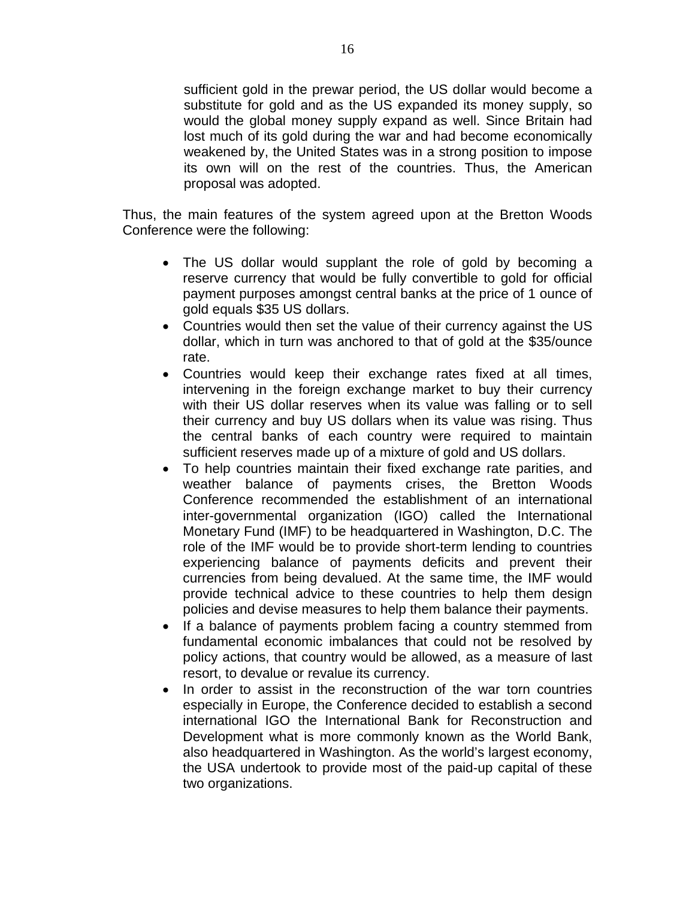sufficient gold in the prewar period, the US dollar would become a substitute for gold and as the US expanded its money supply, so would the global money supply expand as well. Since Britain had lost much of its gold during the war and had become economically weakened by, the United States was in a strong position to impose its own will on the rest of the countries. Thus, the American proposal was adopted.

Thus, the main features of the system agreed upon at the Bretton Woods Conference were the following:

- The US dollar would supplant the role of gold by becoming a reserve currency that would be fully convertible to gold for official payment purposes amongst central banks at the price of 1 ounce of gold equals \$35 US dollars.
- Countries would then set the value of their currency against the US dollar, which in turn was anchored to that of gold at the \$35/ounce rate.
- Countries would keep their exchange rates fixed at all times, intervening in the foreign exchange market to buy their currency with their US dollar reserves when its value was falling or to sell their currency and buy US dollars when its value was rising. Thus the central banks of each country were required to maintain sufficient reserves made up of a mixture of gold and US dollars.
- To help countries maintain their fixed exchange rate parities, and weather balance of payments crises, the Bretton Woods Conference recommended the establishment of an international inter-governmental organization (IGO) called the International Monetary Fund (IMF) to be headquartered in Washington, D.C. The role of the IMF would be to provide short-term lending to countries experiencing balance of payments deficits and prevent their currencies from being devalued. At the same time, the IMF would provide technical advice to these countries to help them design policies and devise measures to help them balance their payments.
- If a balance of payments problem facing a country stemmed from fundamental economic imbalances that could not be resolved by policy actions, that country would be allowed, as a measure of last resort, to devalue or revalue its currency.
- In order to assist in the reconstruction of the war torn countries especially in Europe, the Conference decided to establish a second international IGO the International Bank for Reconstruction and Development what is more commonly known as the World Bank, also headquartered in Washington. As the world's largest economy, the USA undertook to provide most of the paid-up capital of these two organizations.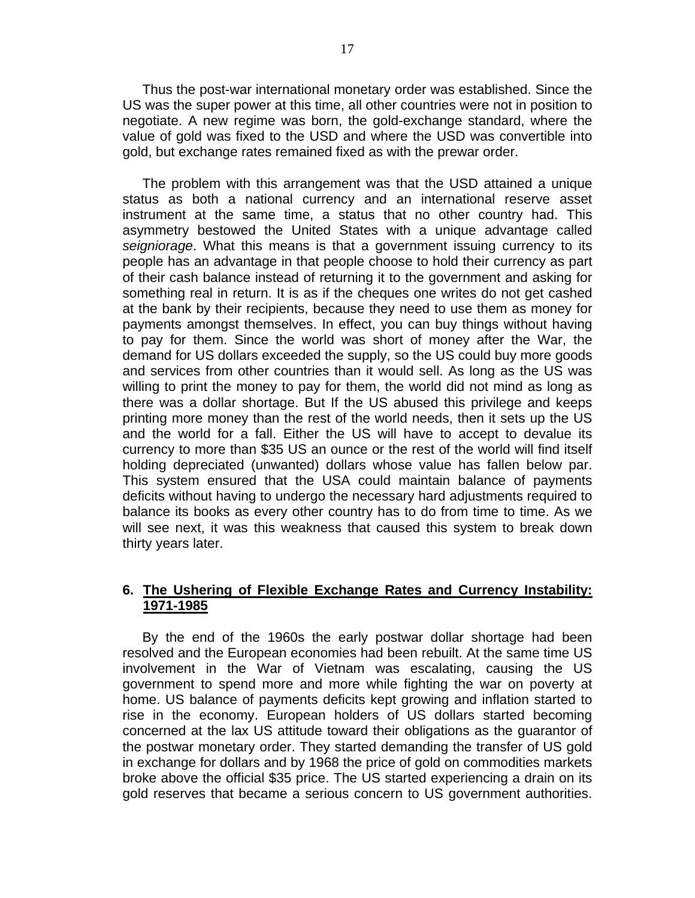Thus the post-war international monetary order was established. Since the US was the super power at this time, all other countries were not in position to negotiate. A new regime was born, the gold-exchange standard, where the value of gold was fixed to the USD and where the USD was convertible into gold, but exchange rates remained fixed as with the prewar order.

The problem with this arrangement was that the USD attained a unique status as both a national currency and an international reserve asset instrument at the same time, a status that no other country had. This asymmetry bestowed the United States with a unique advantage called *seigniorage*. What this means is that a government issuing currency to its people has an advantage in that people choose to hold their currency as part of their cash balance instead of returning it to the government and asking for something real in return. It is as if the cheques one writes do not get cashed at the bank by their recipients, because they need to use them as money for payments amongst themselves. In effect, you can buy things without having to pay for them. Since the world was short of money after the War, the demand for US dollars exceeded the supply, so the US could buy more goods and services from other countries than it would sell. As long as the US was willing to print the money to pay for them, the world did not mind as long as there was a dollar shortage. But If the US abused this privilege and keeps printing more money than the rest of the world needs, then it sets up the US and the world for a fall. Either the US will have to accept to devalue its currency to more than \$35 US an ounce or the rest of the world will find itself holding depreciated (unwanted) dollars whose value has fallen below par. This system ensured that the USA could maintain balance of payments deficits without having to undergo the necessary hard adjustments required to balance its books as every other country has to do from time to time. As we will see next, it was this weakness that caused this system to break down thirty years later.

#### **6. The Ushering of Flexible Exchange Rates and Currency Instability: 1971-1985**

By the end of the 1960s the early postwar dollar shortage had been resolved and the European economies had been rebuilt. At the same time US involvement in the War of Vietnam was escalating, causing the US government to spend more and more while fighting the war on poverty at home. US balance of payments deficits kept growing and inflation started to rise in the economy. European holders of US dollars started becoming concerned at the lax US attitude toward their obligations as the guarantor of the postwar monetary order. They started demanding the transfer of US gold in exchange for dollars and by 1968 the price of gold on commodities markets broke above the official \$35 price. The US started experiencing a drain on its gold reserves that became a serious concern to US government authorities.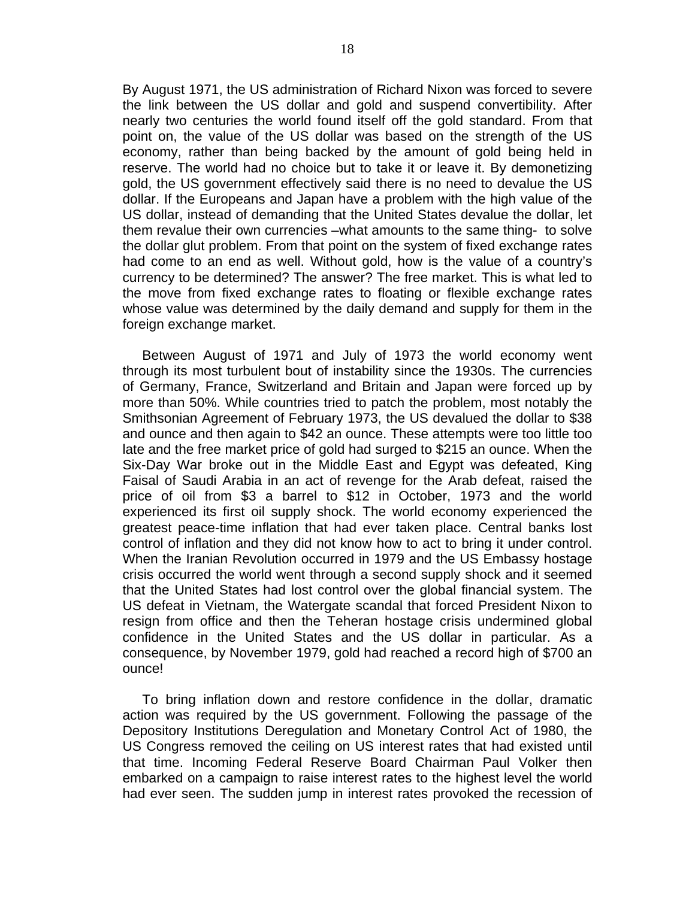By August 1971, the US administration of Richard Nixon was forced to severe the link between the US dollar and gold and suspend convertibility. After nearly two centuries the world found itself off the gold standard. From that point on, the value of the US dollar was based on the strength of the US economy, rather than being backed by the amount of gold being held in reserve. The world had no choice but to take it or leave it. By demonetizing gold, the US government effectively said there is no need to devalue the US dollar. If the Europeans and Japan have a problem with the high value of the US dollar, instead of demanding that the United States devalue the dollar, let them revalue their own currencies –what amounts to the same thing- to solve the dollar glut problem. From that point on the system of fixed exchange rates had come to an end as well. Without gold, how is the value of a country's currency to be determined? The answer? The free market. This is what led to the move from fixed exchange rates to floating or flexible exchange rates whose value was determined by the daily demand and supply for them in the foreign exchange market.

Between August of 1971 and July of 1973 the world economy went through its most turbulent bout of instability since the 1930s. The currencies of Germany, France, Switzerland and Britain and Japan were forced up by more than 50%. While countries tried to patch the problem, most notably the Smithsonian Agreement of February 1973, the US devalued the dollar to \$38 and ounce and then again to \$42 an ounce. These attempts were too little too late and the free market price of gold had surged to \$215 an ounce. When the Six-Day War broke out in the Middle East and Egypt was defeated, King Faisal of Saudi Arabia in an act of revenge for the Arab defeat, raised the price of oil from \$3 a barrel to \$12 in October, 1973 and the world experienced its first oil supply shock. The world economy experienced the greatest peace-time inflation that had ever taken place. Central banks lost control of inflation and they did not know how to act to bring it under control. When the Iranian Revolution occurred in 1979 and the US Embassy hostage crisis occurred the world went through a second supply shock and it seemed that the United States had lost control over the global financial system. The US defeat in Vietnam, the Watergate scandal that forced President Nixon to resign from office and then the Teheran hostage crisis undermined global confidence in the United States and the US dollar in particular. As a consequence, by November 1979, gold had reached a record high of \$700 an ounce!

To bring inflation down and restore confidence in the dollar, dramatic action was required by the US government. Following the passage of the Depository Institutions Deregulation and Monetary Control Act of 1980, the US Congress removed the ceiling on US interest rates that had existed until that time. Incoming Federal Reserve Board Chairman Paul Volker then embarked on a campaign to raise interest rates to the highest level the world had ever seen. The sudden jump in interest rates provoked the recession of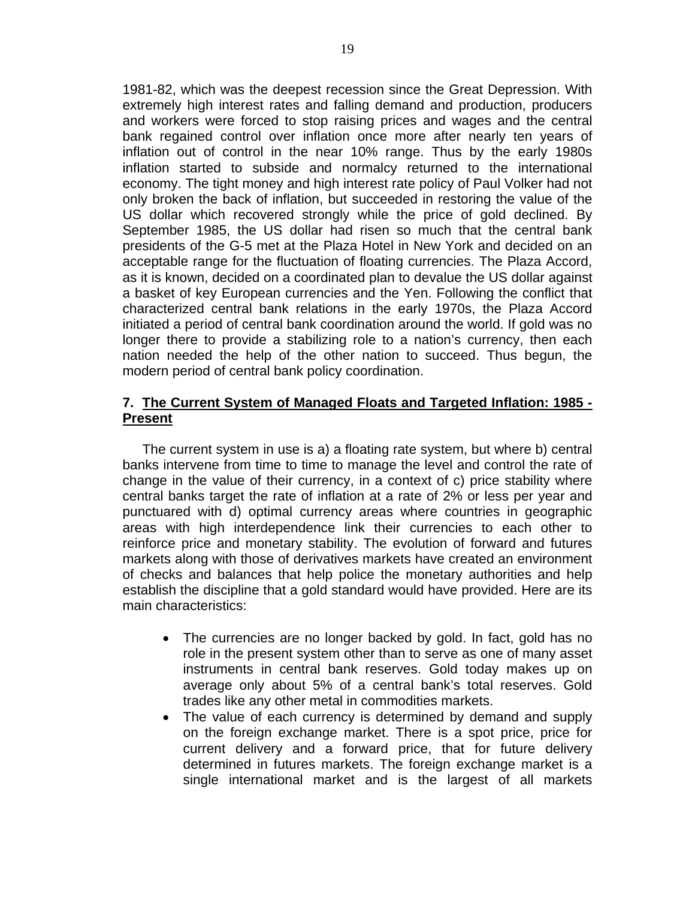1981-82, which was the deepest recession since the Great Depression. With extremely high interest rates and falling demand and production, producers and workers were forced to stop raising prices and wages and the central bank regained control over inflation once more after nearly ten years of inflation out of control in the near 10% range. Thus by the early 1980s inflation started to subside and normalcy returned to the international economy. The tight money and high interest rate policy of Paul Volker had not only broken the back of inflation, but succeeded in restoring the value of the US dollar which recovered strongly while the price of gold declined. By September 1985, the US dollar had risen so much that the central bank presidents of the G-5 met at the Plaza Hotel in New York and decided on an acceptable range for the fluctuation of floating currencies. The Plaza Accord, as it is known, decided on a coordinated plan to devalue the US dollar against a basket of key European currencies and the Yen. Following the conflict that characterized central bank relations in the early 1970s, the Plaza Accord initiated a period of central bank coordination around the world. If gold was no longer there to provide a stabilizing role to a nation's currency, then each nation needed the help of the other nation to succeed. Thus begun, the modern period of central bank policy coordination.

#### **7. The Current System of Managed Floats and Targeted Inflation: 1985 - Present**

The current system in use is a) a floating rate system, but where b) central banks intervene from time to time to manage the level and control the rate of change in the value of their currency, in a context of c) price stability where central banks target the rate of inflation at a rate of 2% or less per year and punctuared with d) optimal currency areas where countries in geographic areas with high interdependence link their currencies to each other to reinforce price and monetary stability. The evolution of forward and futures markets along with those of derivatives markets have created an environment of checks and balances that help police the monetary authorities and help establish the discipline that a gold standard would have provided. Here are its main characteristics:

- The currencies are no longer backed by gold. In fact, gold has no role in the present system other than to serve as one of many asset instruments in central bank reserves. Gold today makes up on average only about 5% of a central bank's total reserves. Gold trades like any other metal in commodities markets.
- The value of each currency is determined by demand and supply on the foreign exchange market. There is a spot price, price for current delivery and a forward price, that for future delivery determined in futures markets. The foreign exchange market is a single international market and is the largest of all markets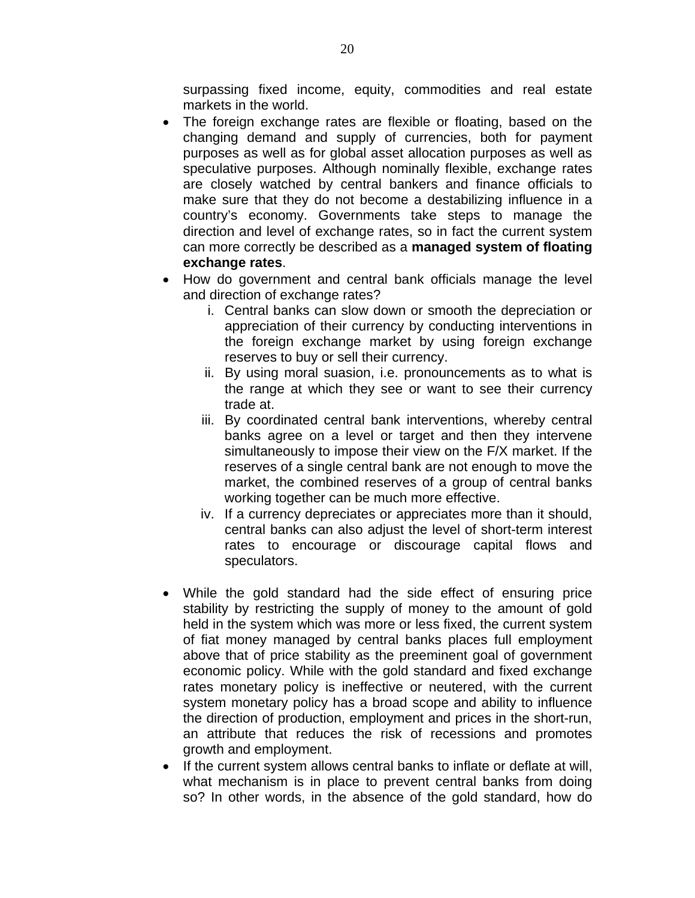surpassing fixed income, equity, commodities and real estate markets in the world.

- The foreign exchange rates are flexible or floating, based on the changing demand and supply of currencies, both for payment purposes as well as for global asset allocation purposes as well as speculative purposes. Although nominally flexible, exchange rates are closely watched by central bankers and finance officials to make sure that they do not become a destabilizing influence in a country's economy. Governments take steps to manage the direction and level of exchange rates, so in fact the current system can more correctly be described as a **managed system of floating exchange rates**.
- How do government and central bank officials manage the level and direction of exchange rates?
	- i. Central banks can slow down or smooth the depreciation or appreciation of their currency by conducting interventions in the foreign exchange market by using foreign exchange reserves to buy or sell their currency.
	- ii. By using moral suasion, i.e. pronouncements as to what is the range at which they see or want to see their currency trade at.
	- iii. By coordinated central bank interventions, whereby central banks agree on a level or target and then they intervene simultaneously to impose their view on the F/X market. If the reserves of a single central bank are not enough to move the market, the combined reserves of a group of central banks working together can be much more effective.
	- iv. If a currency depreciates or appreciates more than it should, central banks can also adjust the level of short-term interest rates to encourage or discourage capital flows and speculators.
- While the gold standard had the side effect of ensuring price stability by restricting the supply of money to the amount of gold held in the system which was more or less fixed, the current system of fiat money managed by central banks places full employment above that of price stability as the preeminent goal of government economic policy. While with the gold standard and fixed exchange rates monetary policy is ineffective or neutered, with the current system monetary policy has a broad scope and ability to influence the direction of production, employment and prices in the short-run, an attribute that reduces the risk of recessions and promotes growth and employment.
- If the current system allows central banks to inflate or deflate at will, what mechanism is in place to prevent central banks from doing so? In other words, in the absence of the gold standard, how do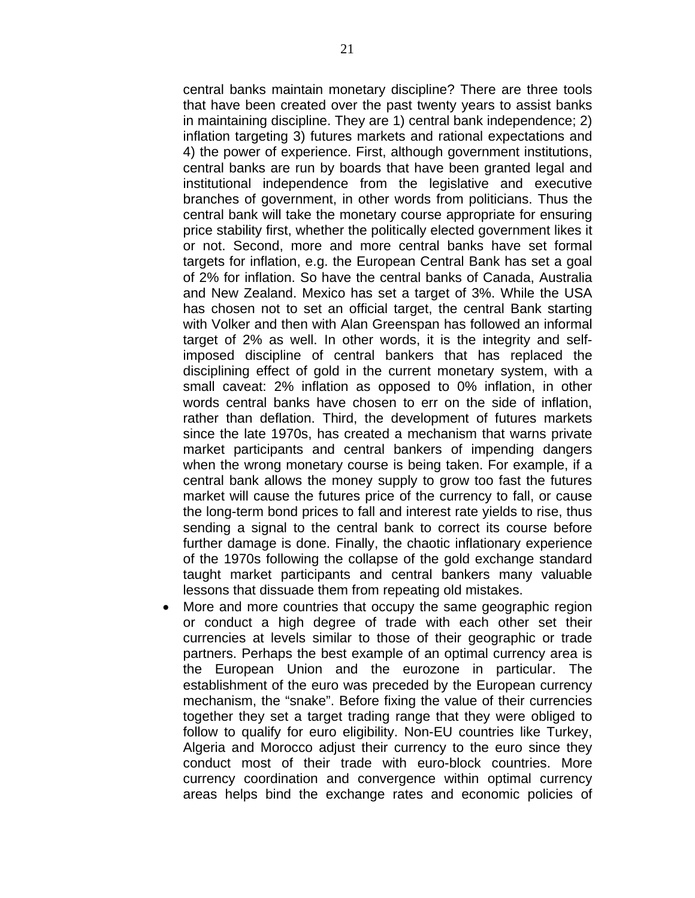central banks maintain monetary discipline? There are three tools that have been created over the past twenty years to assist banks in maintaining discipline. They are 1) central bank independence; 2) inflation targeting 3) futures markets and rational expectations and 4) the power of experience. First, although government institutions, central banks are run by boards that have been granted legal and institutional independence from the legislative and executive branches of government, in other words from politicians. Thus the central bank will take the monetary course appropriate for ensuring price stability first, whether the politically elected government likes it or not. Second, more and more central banks have set formal targets for inflation, e.g. the European Central Bank has set a goal of 2% for inflation. So have the central banks of Canada, Australia and New Zealand. Mexico has set a target of 3%. While the USA has chosen not to set an official target, the central Bank starting with Volker and then with Alan Greenspan has followed an informal target of 2% as well. In other words, it is the integrity and selfimposed discipline of central bankers that has replaced the disciplining effect of gold in the current monetary system, with a small caveat: 2% inflation as opposed to 0% inflation, in other words central banks have chosen to err on the side of inflation, rather than deflation. Third, the development of futures markets since the late 1970s, has created a mechanism that warns private market participants and central bankers of impending dangers when the wrong monetary course is being taken. For example, if a central bank allows the money supply to grow too fast the futures market will cause the futures price of the currency to fall, or cause the long-term bond prices to fall and interest rate yields to rise, thus sending a signal to the central bank to correct its course before further damage is done. Finally, the chaotic inflationary experience of the 1970s following the collapse of the gold exchange standard taught market participants and central bankers many valuable lessons that dissuade them from repeating old mistakes.

• More and more countries that occupy the same geographic region or conduct a high degree of trade with each other set their currencies at levels similar to those of their geographic or trade partners. Perhaps the best example of an optimal currency area is the European Union and the eurozone in particular. The establishment of the euro was preceded by the European currency mechanism, the "snake". Before fixing the value of their currencies together they set a target trading range that they were obliged to follow to qualify for euro eligibility. Non-EU countries like Turkey, Algeria and Morocco adjust their currency to the euro since they conduct most of their trade with euro-block countries. More currency coordination and convergence within optimal currency areas helps bind the exchange rates and economic policies of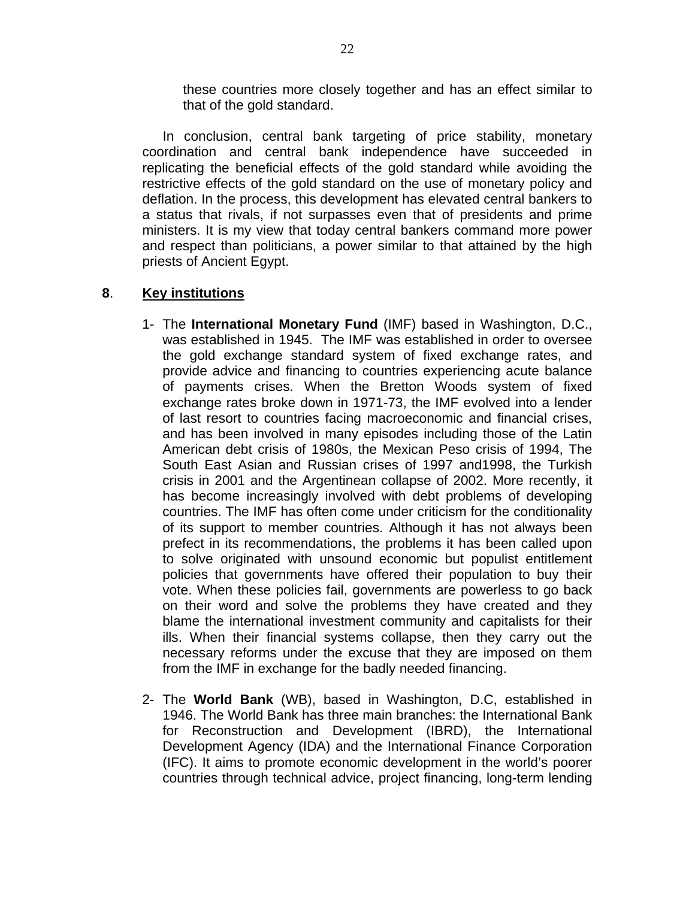these countries more closely together and has an effect similar to that of the gold standard.

In conclusion, central bank targeting of price stability, monetary coordination and central bank independence have succeeded in replicating the beneficial effects of the gold standard while avoiding the restrictive effects of the gold standard on the use of monetary policy and deflation. In the process, this development has elevated central bankers to a status that rivals, if not surpasses even that of presidents and prime ministers. It is my view that today central bankers command more power and respect than politicians, a power similar to that attained by the high priests of Ancient Egypt.

### **8**. **Key institutions**

- 1- The **International Monetary Fund** (IMF) based in Washington, D.C., was established in 1945. The IMF was established in order to oversee the gold exchange standard system of fixed exchange rates, and provide advice and financing to countries experiencing acute balance of payments crises. When the Bretton Woods system of fixed exchange rates broke down in 1971-73, the IMF evolved into a lender of last resort to countries facing macroeconomic and financial crises, and has been involved in many episodes including those of the Latin American debt crisis of 1980s, the Mexican Peso crisis of 1994, The South East Asian and Russian crises of 1997 and1998, the Turkish crisis in 2001 and the Argentinean collapse of 2002. More recently, it has become increasingly involved with debt problems of developing countries. The IMF has often come under criticism for the conditionality of its support to member countries. Although it has not always been prefect in its recommendations, the problems it has been called upon to solve originated with unsound economic but populist entitlement policies that governments have offered their population to buy their vote. When these policies fail, governments are powerless to go back on their word and solve the problems they have created and they blame the international investment community and capitalists for their ills. When their financial systems collapse, then they carry out the necessary reforms under the excuse that they are imposed on them from the IMF in exchange for the badly needed financing.
- 2- The **World Bank** (WB), based in Washington, D.C, established in 1946. The World Bank has three main branches: the International Bank for Reconstruction and Development (IBRD), the International Development Agency (IDA) and the International Finance Corporation (IFC). It aims to promote economic development in the world's poorer countries through technical advice, project financing, long-term lending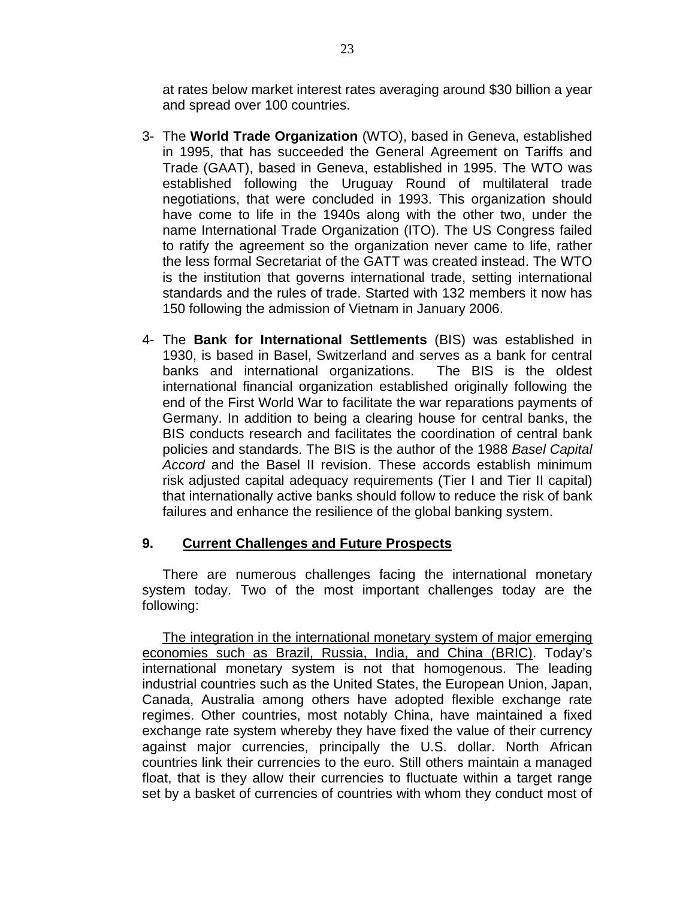at rates below market interest rates averaging around \$30 billion a year and spread over 100 countries.

- 3- The **World Trade Organization** (WTO), based in Geneva, established in 1995, that has succeeded the General Agreement on Tariffs and Trade (GAAT), based in Geneva, established in 1995. The WTO was established following the Uruguay Round of multilateral trade negotiations, that were concluded in 1993. This organization should have come to life in the 1940s along with the other two, under the name International Trade Organization (ITO). The US Congress failed to ratify the agreement so the organization never came to life, rather the less formal Secretariat of the GATT was created instead. The WTO is the institution that governs international trade, setting international standards and the rules of trade. Started with 132 members it now has 150 following the admission of Vietnam in January 2006.
- 4- The **Bank for International Settlements** (BIS) was established in 1930, is based in Basel, Switzerland and serves as a bank for central banks and international organizations. The BIS is the oldest international financial organization established originally following the end of the First World War to facilitate the war reparations payments of Germany. In addition to being a clearing house for central banks, the BIS conducts research and facilitates the coordination of central bank policies and standards. The BIS is the author of the 1988 *Basel Capital Accord* and the Basel II revision. These accords establish minimum risk adjusted capital adequacy requirements (Tier I and Tier II capital) that internationally active banks should follow to reduce the risk of bank failures and enhance the resilience of the global banking system.

#### **9. Current Challenges and Future Prospects**

There are numerous challenges facing the international monetary system today. Two of the most important challenges today are the following:

The integration in the international monetary system of major emerging economies such as Brazil, Russia, India, and China (BRIC). Today's international monetary system is not that homogenous. The leading industrial countries such as the United States, the European Union, Japan, Canada, Australia among others have adopted flexible exchange rate regimes. Other countries, most notably China, have maintained a fixed exchange rate system whereby they have fixed the value of their currency against major currencies, principally the U.S. dollar. North African countries link their currencies to the euro. Still others maintain a managed float, that is they allow their currencies to fluctuate within a target range set by a basket of currencies of countries with whom they conduct most of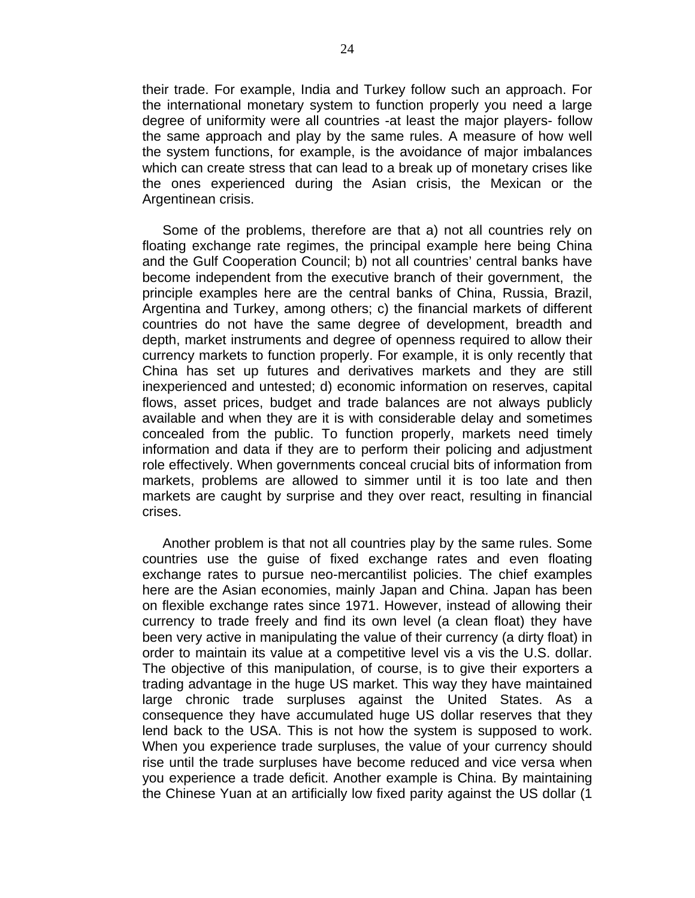their trade. For example, India and Turkey follow such an approach. For the international monetary system to function properly you need a large degree of uniformity were all countries -at least the major players- follow the same approach and play by the same rules. A measure of how well the system functions, for example, is the avoidance of major imbalances which can create stress that can lead to a break up of monetary crises like the ones experienced during the Asian crisis, the Mexican or the Argentinean crisis.

Some of the problems, therefore are that a) not all countries rely on floating exchange rate regimes, the principal example here being China and the Gulf Cooperation Council; b) not all countries' central banks have become independent from the executive branch of their government, the principle examples here are the central banks of China, Russia, Brazil, Argentina and Turkey, among others; c) the financial markets of different countries do not have the same degree of development, breadth and depth, market instruments and degree of openness required to allow their currency markets to function properly. For example, it is only recently that China has set up futures and derivatives markets and they are still inexperienced and untested; d) economic information on reserves, capital flows, asset prices, budget and trade balances are not always publicly available and when they are it is with considerable delay and sometimes concealed from the public. To function properly, markets need timely information and data if they are to perform their policing and adjustment role effectively. When governments conceal crucial bits of information from markets, problems are allowed to simmer until it is too late and then markets are caught by surprise and they over react, resulting in financial crises.

Another problem is that not all countries play by the same rules. Some countries use the guise of fixed exchange rates and even floating exchange rates to pursue neo-mercantilist policies. The chief examples here are the Asian economies, mainly Japan and China. Japan has been on flexible exchange rates since 1971. However, instead of allowing their currency to trade freely and find its own level (a clean float) they have been very active in manipulating the value of their currency (a dirty float) in order to maintain its value at a competitive level vis a vis the U.S. dollar. The objective of this manipulation, of course, is to give their exporters a trading advantage in the huge US market. This way they have maintained large chronic trade surpluses against the United States. As a consequence they have accumulated huge US dollar reserves that they lend back to the USA. This is not how the system is supposed to work. When you experience trade surpluses, the value of your currency should rise until the trade surpluses have become reduced and vice versa when you experience a trade deficit. Another example is China. By maintaining the Chinese Yuan at an artificially low fixed parity against the US dollar (1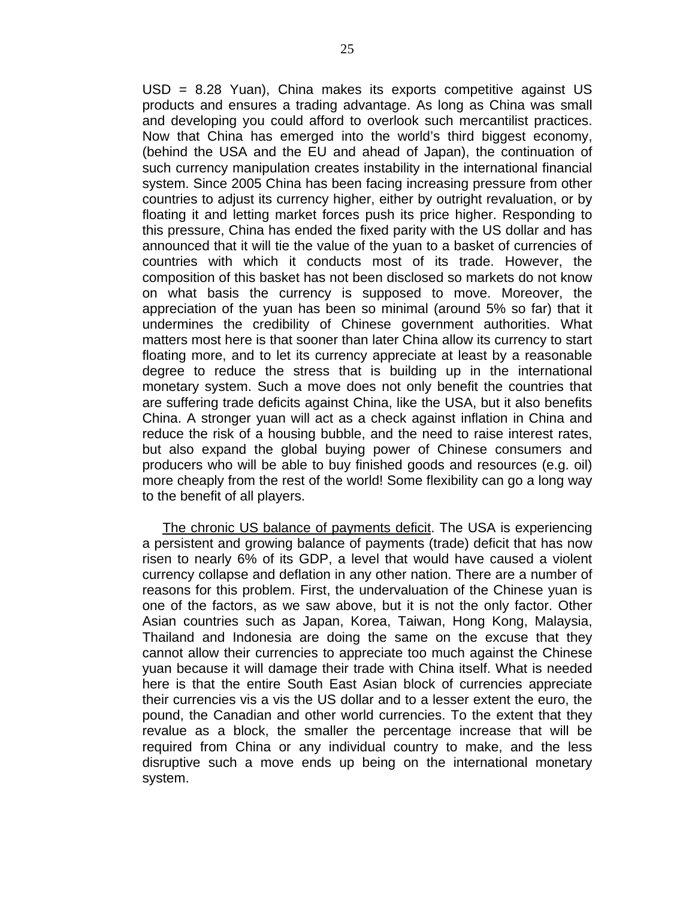USD = 8.28 Yuan), China makes its exports competitive against US products and ensures a trading advantage. As long as China was small and developing you could afford to overlook such mercantilist practices. Now that China has emerged into the world's third biggest economy, (behind the USA and the EU and ahead of Japan), the continuation of such currency manipulation creates instability in the international financial system. Since 2005 China has been facing increasing pressure from other countries to adjust its currency higher, either by outright revaluation, or by floating it and letting market forces push its price higher. Responding to this pressure, China has ended the fixed parity with the US dollar and has announced that it will tie the value of the yuan to a basket of currencies of countries with which it conducts most of its trade. However, the composition of this basket has not been disclosed so markets do not know on what basis the currency is supposed to move. Moreover, the appreciation of the yuan has been so minimal (around 5% so far) that it undermines the credibility of Chinese government authorities. What matters most here is that sooner than later China allow its currency to start floating more, and to let its currency appreciate at least by a reasonable degree to reduce the stress that is building up in the international monetary system. Such a move does not only benefit the countries that are suffering trade deficits against China, like the USA, but it also benefits China. A stronger yuan will act as a check against inflation in China and reduce the risk of a housing bubble, and the need to raise interest rates, but also expand the global buying power of Chinese consumers and producers who will be able to buy finished goods and resources (e.g. oil) more cheaply from the rest of the world! Some flexibility can go a long way to the benefit of all players.

The chronic US balance of payments deficit. The USA is experiencing a persistent and growing balance of payments (trade) deficit that has now risen to nearly 6% of its GDP, a level that would have caused a violent currency collapse and deflation in any other nation. There are a number of reasons for this problem. First, the undervaluation of the Chinese yuan is one of the factors, as we saw above, but it is not the only factor. Other Asian countries such as Japan, Korea, Taiwan, Hong Kong, Malaysia, Thailand and Indonesia are doing the same on the excuse that they cannot allow their currencies to appreciate too much against the Chinese yuan because it will damage their trade with China itself. What is needed here is that the entire South East Asian block of currencies appreciate their currencies vis a vis the US dollar and to a lesser extent the euro, the pound, the Canadian and other world currencies. To the extent that they revalue as a block, the smaller the percentage increase that will be required from China or any individual country to make, and the less disruptive such a move ends up being on the international monetary system.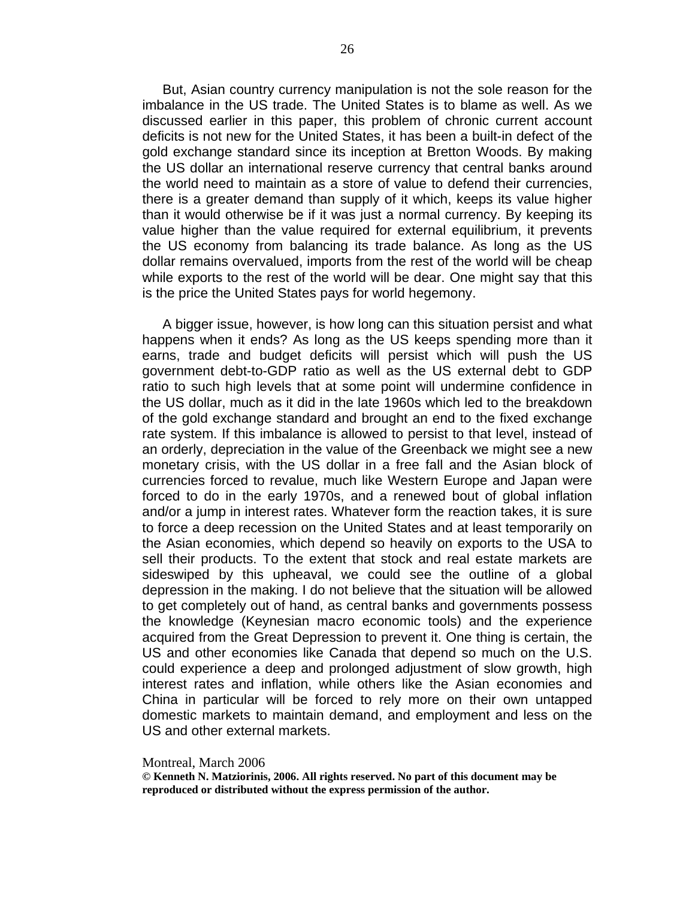But, Asian country currency manipulation is not the sole reason for the imbalance in the US trade. The United States is to blame as well. As we discussed earlier in this paper, this problem of chronic current account deficits is not new for the United States, it has been a built-in defect of the gold exchange standard since its inception at Bretton Woods. By making the US dollar an international reserve currency that central banks around the world need to maintain as a store of value to defend their currencies, there is a greater demand than supply of it which, keeps its value higher than it would otherwise be if it was just a normal currency. By keeping its value higher than the value required for external equilibrium, it prevents the US economy from balancing its trade balance. As long as the US dollar remains overvalued, imports from the rest of the world will be cheap while exports to the rest of the world will be dear. One might say that this is the price the United States pays for world hegemony.

A bigger issue, however, is how long can this situation persist and what happens when it ends? As long as the US keeps spending more than it earns, trade and budget deficits will persist which will push the US government debt-to-GDP ratio as well as the US external debt to GDP ratio to such high levels that at some point will undermine confidence in the US dollar, much as it did in the late 1960s which led to the breakdown of the gold exchange standard and brought an end to the fixed exchange rate system. If this imbalance is allowed to persist to that level, instead of an orderly, depreciation in the value of the Greenback we might see a new monetary crisis, with the US dollar in a free fall and the Asian block of currencies forced to revalue, much like Western Europe and Japan were forced to do in the early 1970s, and a renewed bout of global inflation and/or a jump in interest rates. Whatever form the reaction takes, it is sure to force a deep recession on the United States and at least temporarily on the Asian economies, which depend so heavily on exports to the USA to sell their products. To the extent that stock and real estate markets are sideswiped by this upheaval, we could see the outline of a global depression in the making. I do not believe that the situation will be allowed to get completely out of hand, as central banks and governments possess the knowledge (Keynesian macro economic tools) and the experience acquired from the Great Depression to prevent it. One thing is certain, the US and other economies like Canada that depend so much on the U.S. could experience a deep and prolonged adjustment of slow growth, high interest rates and inflation, while others like the Asian economies and China in particular will be forced to rely more on their own untapped domestic markets to maintain demand, and employment and less on the US and other external markets.

#### Montreal, March 2006

**© Kenneth N. Matziorinis, 2006. All rights reserved. No part of this document may be reproduced or distributed without the express permission of the author.**